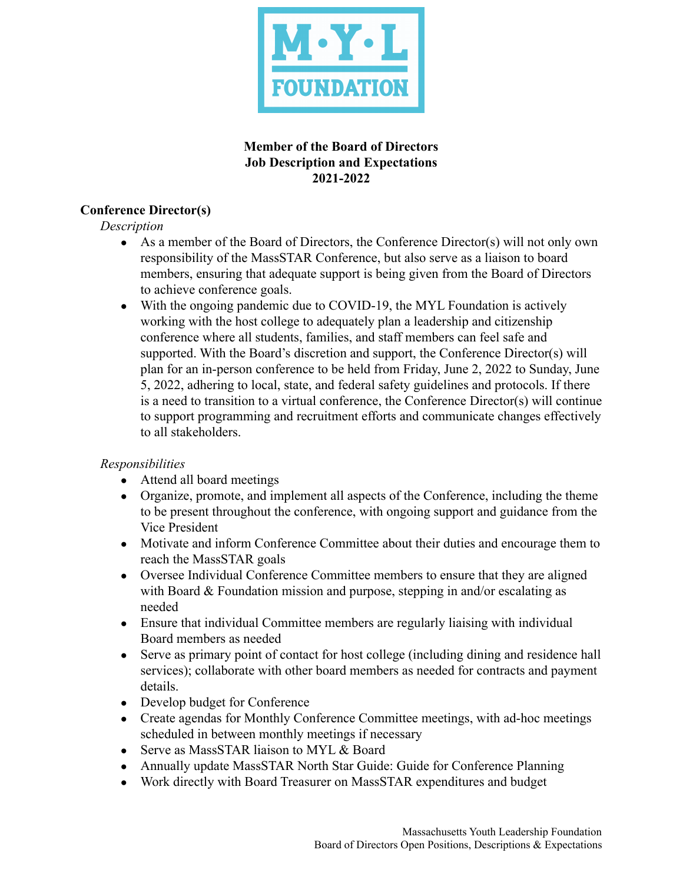

### **Member of the Board of Directors Job Description and Expectations 2021-2022**

# **Conference Director(s)**

*Description*

- As a member of the Board of Directors, the Conference Director(s) will not only own responsibility of the MassSTAR Conference, but also serve as a liaison to board members, ensuring that adequate support is being given from the Board of Directors to achieve conference goals.
- With the ongoing pandemic due to COVID-19, the MYL Foundation is actively working with the host college to adequately plan a leadership and citizenship conference where all students, families, and staff members can feel safe and supported. With the Board's discretion and support, the Conference Director(s) will plan for an in-person conference to be held from Friday, June 2, 2022 to Sunday, June 5, 2022, adhering to local, state, and federal safety guidelines and protocols. If there is a need to transition to a virtual conference, the Conference Director(s) will continue to support programming and recruitment efforts and communicate changes effectively to all stakeholders.

#### *Responsibilities*

- Attend all board meetings
- Organize, promote, and implement all aspects of the Conference, including the theme to be present throughout the conference, with ongoing support and guidance from the Vice President
- Motivate and inform Conference Committee about their duties and encourage them to reach the MassSTAR goals
- Oversee Individual Conference Committee members to ensure that they are aligned with Board & Foundation mission and purpose, stepping in and/or escalating as needed
- Ensure that individual Committee members are regularly liaising with individual Board members as needed
- Serve as primary point of contact for host college (including dining and residence hall services); collaborate with other board members as needed for contracts and payment details.
- Develop budget for Conference
- Create agendas for Monthly Conference Committee meetings, with ad-hoc meetings scheduled in between monthly meetings if necessary
- Serve as MassSTAR liaison to MYL & Board
- Annually update MassSTAR North Star Guide: Guide for Conference Planning
- Work directly with Board Treasurer on MassSTAR expenditures and budget